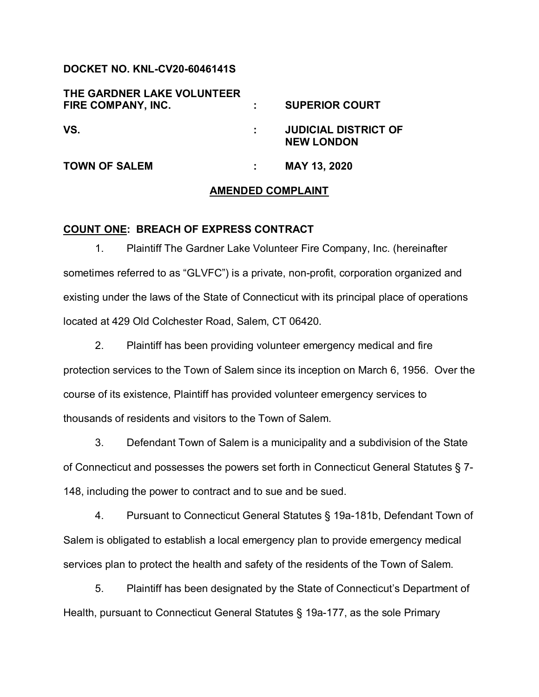# **DOCKET NO. KNL-CV20-6046141S**

| THE GARDNER LAKE VOLUNTEER<br>FIRE COMPANY, INC. | <b>SUPERIOR COURT</b>                            |
|--------------------------------------------------|--------------------------------------------------|
| VS.                                              | <b>JUDICIAL DISTRICT OF</b><br><b>NEW LONDON</b> |
| <b>TOWN OF SALEM</b>                             | MAY 13, 2020                                     |

#### **AMENDED COMPLAINT**

#### **COUNT ONE: BREACH OF EXPRESS CONTRACT**

1. Plaintiff The Gardner Lake Volunteer Fire Company, Inc. (hereinafter sometimes referred to as "GLVFC") is a private, non-profit, corporation organized and existing under the laws of the State of Connecticut with its principal place of operations located at 429 Old Colchester Road, Salem, CT 06420.

2. Plaintiff has been providing volunteer emergency medical and fire protection services to the Town of Salem since its inception on March 6, 1956. Over the course of its existence, Plaintiff has provided volunteer emergency services to thousands of residents and visitors to the Town of Salem.

3. Defendant Town of Salem is a municipality and a subdivision of the State of Connecticut and possesses the powers set forth in Connecticut General Statutes § 7- 148, including the power to contract and to sue and be sued.

4. Pursuant to Connecticut General Statutes § 19a-181b, Defendant Town of Salem is obligated to establish a local emergency plan to provide emergency medical services plan to protect the health and safety of the residents of the Town of Salem.

5. Plaintiff has been designated by the State of Connecticut's Department of Health, pursuant to Connecticut General Statutes § 19a-177, as the sole Primary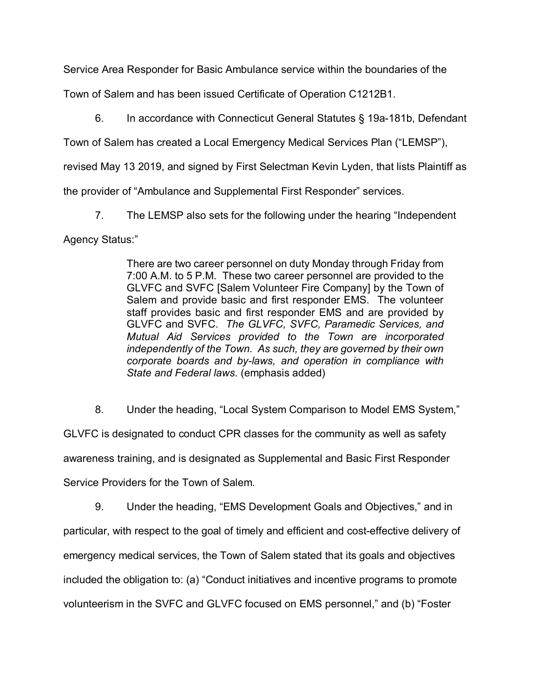Service Area Responder for Basic Ambulance service within the boundaries of the

Town of Salem and has been issued Certificate of Operation C1212B1.

6. In accordance with Connecticut General Statutes § 19a-181b, Defendant

Town of Salem has created a Local Emergency Medical Services Plan ("LEMSP"),

revised May 13 2019, and signed by First Selectman Kevin Lyden, that lists Plaintiff as

the provider of "Ambulance and Supplemental First Responder" services.

7. The LEMSP also sets for the following under the hearing "Independent

Agency Status:"

There are two career personnel on duty Monday through Friday from 7:00 A.M. to 5 P.M. These two career personnel are provided to the GLVFC and SVFC [Salem Volunteer Fire Company] by the Town of Salem and provide basic and first responder EMS. The volunteer staff provides basic and first responder EMS and are provided by GLVFC and SVFC. *The GLVFC, SVFC, Paramedic Services, and Mutual Aid Services provided to the Town are incorporated independently of the Town. As such, they are governed by their own corporate boards and by-laws, and operation in compliance with State and Federal laws*. (emphasis added)

8. Under the heading, "Local System Comparison to Model EMS System," GLVFC is designated to conduct CPR classes for the community as well as safety awareness training, and is designated as Supplemental and Basic First Responder Service Providers for the Town of Salem.

9. Under the heading, "EMS Development Goals and Objectives," and in particular, with respect to the goal of timely and efficient and cost-effective delivery of emergency medical services, the Town of Salem stated that its goals and objectives included the obligation to: (a) "Conduct initiatives and incentive programs to promote volunteerism in the SVFC and GLVFC focused on EMS personnel," and (b) "Foster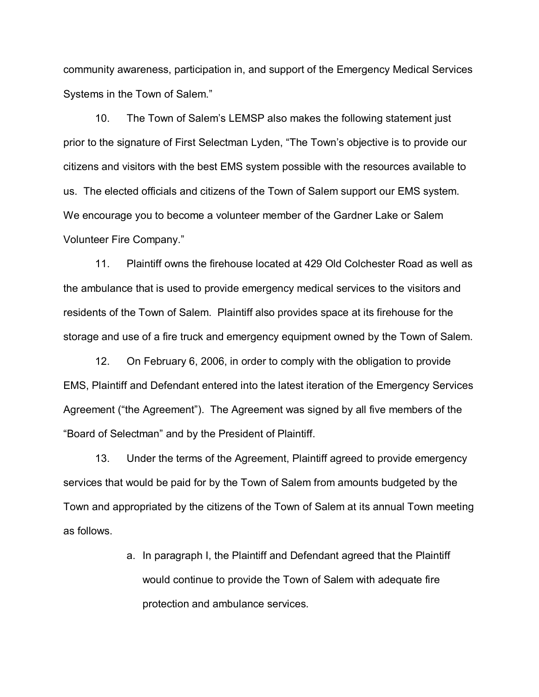community awareness, participation in, and support of the Emergency Medical Services Systems in the Town of Salem."

10. The Town of Salem's LEMSP also makes the following statement just prior to the signature of First Selectman Lyden, "The Town's objective is to provide our citizens and visitors with the best EMS system possible with the resources available to us. The elected officials and citizens of the Town of Salem support our EMS system. We encourage you to become a volunteer member of the Gardner Lake or Salem Volunteer Fire Company."

11. Plaintiff owns the firehouse located at 429 Old Colchester Road as well as the ambulance that is used to provide emergency medical services to the visitors and residents of the Town of Salem. Plaintiff also provides space at its firehouse for the storage and use of a fire truck and emergency equipment owned by the Town of Salem.

12. On February 6, 2006, in order to comply with the obligation to provide EMS, Plaintiff and Defendant entered into the latest iteration of the Emergency Services Agreement ("the Agreement"). The Agreement was signed by all five members of the "Board of Selectman" and by the President of Plaintiff.

13. Under the terms of the Agreement, Plaintiff agreed to provide emergency services that would be paid for by the Town of Salem from amounts budgeted by the Town and appropriated by the citizens of the Town of Salem at its annual Town meeting as follows.

> a. In paragraph I, the Plaintiff and Defendant agreed that the Plaintiff would continue to provide the Town of Salem with adequate fire protection and ambulance services.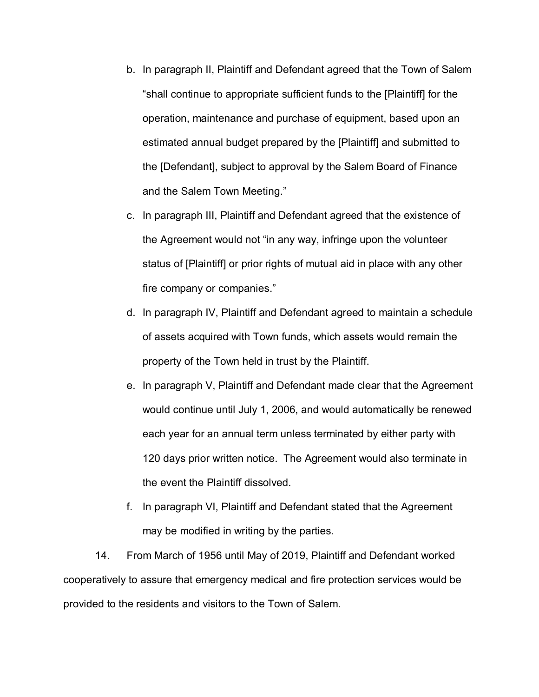- b. In paragraph II, Plaintiff and Defendant agreed that the Town of Salem "shall continue to appropriate sufficient funds to the [Plaintiff] for the operation, maintenance and purchase of equipment, based upon an estimated annual budget prepared by the [Plaintiff] and submitted to the [Defendant], subject to approval by the Salem Board of Finance and the Salem Town Meeting."
- c. In paragraph III, Plaintiff and Defendant agreed that the existence of the Agreement would not "in any way, infringe upon the volunteer status of [Plaintiff] or prior rights of mutual aid in place with any other fire company or companies."
- d. In paragraph IV, Plaintiff and Defendant agreed to maintain a schedule of assets acquired with Town funds, which assets would remain the property of the Town held in trust by the Plaintiff.
- e. In paragraph V, Plaintiff and Defendant made clear that the Agreement would continue until July 1, 2006, and would automatically be renewed each year for an annual term unless terminated by either party with 120 days prior written notice. The Agreement would also terminate in the event the Plaintiff dissolved.
- f. In paragraph VI, Plaintiff and Defendant stated that the Agreement may be modified in writing by the parties.

14. From March of 1956 until May of 2019, Plaintiff and Defendant worked cooperatively to assure that emergency medical and fire protection services would be provided to the residents and visitors to the Town of Salem.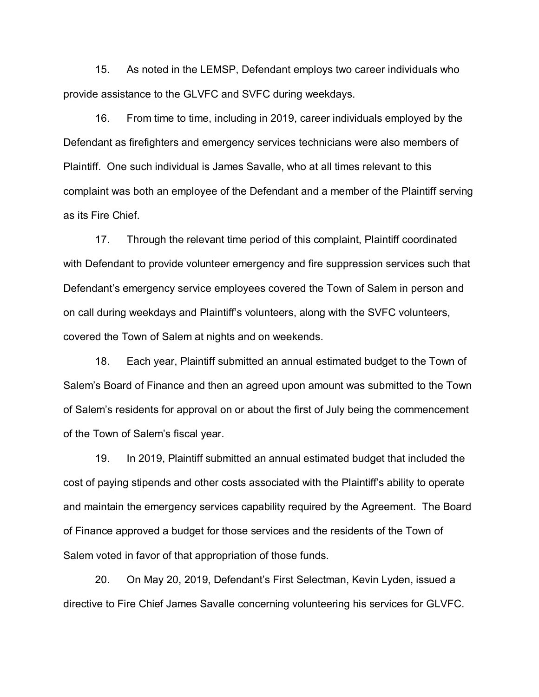15. As noted in the LEMSP, Defendant employs two career individuals who provide assistance to the GLVFC and SVFC during weekdays.

16. From time to time, including in 2019, career individuals employed by the Defendant as firefighters and emergency services technicians were also members of Plaintiff. One such individual is James Savalle, who at all times relevant to this complaint was both an employee of the Defendant and a member of the Plaintiff serving as its Fire Chief.

17. Through the relevant time period of this complaint, Plaintiff coordinated with Defendant to provide volunteer emergency and fire suppression services such that Defendant's emergency service employees covered the Town of Salem in person and on call during weekdays and Plaintiff's volunteers, along with the SVFC volunteers, covered the Town of Salem at nights and on weekends.

18. Each year, Plaintiff submitted an annual estimated budget to the Town of Salem's Board of Finance and then an agreed upon amount was submitted to the Town of Salem's residents for approval on or about the first of July being the commencement of the Town of Salem's fiscal year.

19. In 2019, Plaintiff submitted an annual estimated budget that included the cost of paying stipends and other costs associated with the Plaintiff's ability to operate and maintain the emergency services capability required by the Agreement. The Board of Finance approved a budget for those services and the residents of the Town of Salem voted in favor of that appropriation of those funds.

20. On May 20, 2019, Defendant's First Selectman, Kevin Lyden, issued a directive to Fire Chief James Savalle concerning volunteering his services for GLVFC.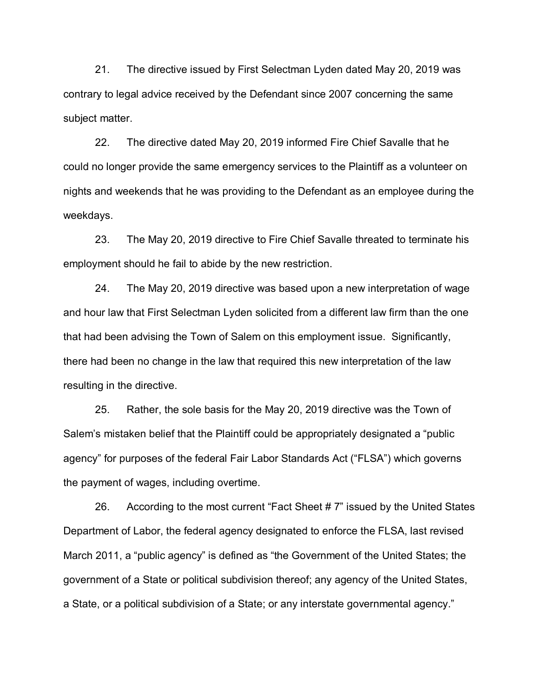21. The directive issued by First Selectman Lyden dated May 20, 2019 was contrary to legal advice received by the Defendant since 2007 concerning the same subject matter.

22. The directive dated May 20, 2019 informed Fire Chief Savalle that he could no longer provide the same emergency services to the Plaintiff as a volunteer on nights and weekends that he was providing to the Defendant as an employee during the weekdays.

23. The May 20, 2019 directive to Fire Chief Savalle threated to terminate his employment should he fail to abide by the new restriction.

24. The May 20, 2019 directive was based upon a new interpretation of wage and hour law that First Selectman Lyden solicited from a different law firm than the one that had been advising the Town of Salem on this employment issue. Significantly, there had been no change in the law that required this new interpretation of the law resulting in the directive.

25. Rather, the sole basis for the May 20, 2019 directive was the Town of Salem's mistaken belief that the Plaintiff could be appropriately designated a "public agency" for purposes of the federal Fair Labor Standards Act ("FLSA") which governs the payment of wages, including overtime.

26. According to the most current "Fact Sheet # 7" issued by the United States Department of Labor, the federal agency designated to enforce the FLSA, last revised March 2011, a "public agency" is defined as "the Government of the United States; the government of a State or political subdivision thereof; any agency of the United States, a State, or a political subdivision of a State; or any interstate governmental agency."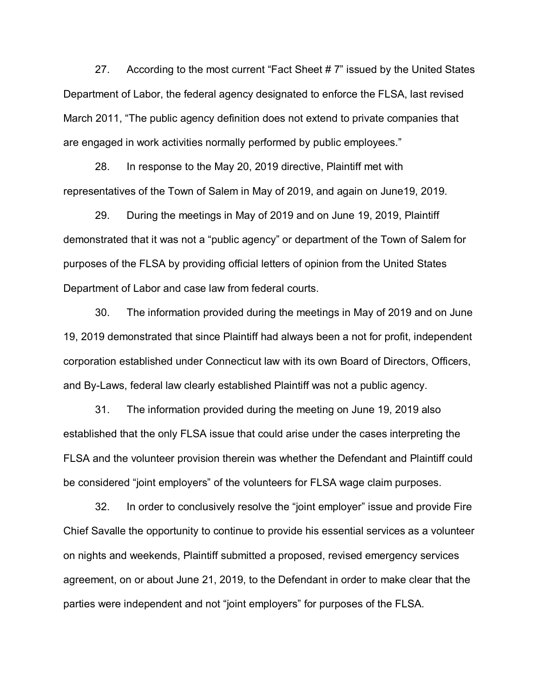27. According to the most current "Fact Sheet #7" issued by the United States Department of Labor, the federal agency designated to enforce the FLSA, last revised March 2011, "The public agency definition does not extend to private companies that are engaged in work activities normally performed by public employees."

28. In response to the May 20, 2019 directive, Plaintiff met with representatives of the Town of Salem in May of 2019, and again on June19, 2019.

29. During the meetings in May of 2019 and on June 19, 2019, Plaintiff demonstrated that it was not a "public agency" or department of the Town of Salem for purposes of the FLSA by providing official letters of opinion from the United States Department of Labor and case law from federal courts.

30. The information provided during the meetings in May of 2019 and on June 19, 2019 demonstrated that since Plaintiff had always been a not for profit, independent corporation established under Connecticut law with its own Board of Directors, Officers, and By-Laws, federal law clearly established Plaintiff was not a public agency.

31. The information provided during the meeting on June 19, 2019 also established that the only FLSA issue that could arise under the cases interpreting the FLSA and the volunteer provision therein was whether the Defendant and Plaintiff could be considered "joint employers" of the volunteers for FLSA wage claim purposes.

32. In order to conclusively resolve the "joint employer" issue and provide Fire Chief Savalle the opportunity to continue to provide his essential services as a volunteer on nights and weekends, Plaintiff submitted a proposed, revised emergency services agreement, on or about June 21, 2019, to the Defendant in order to make clear that the parties were independent and not "joint employers" for purposes of the FLSA.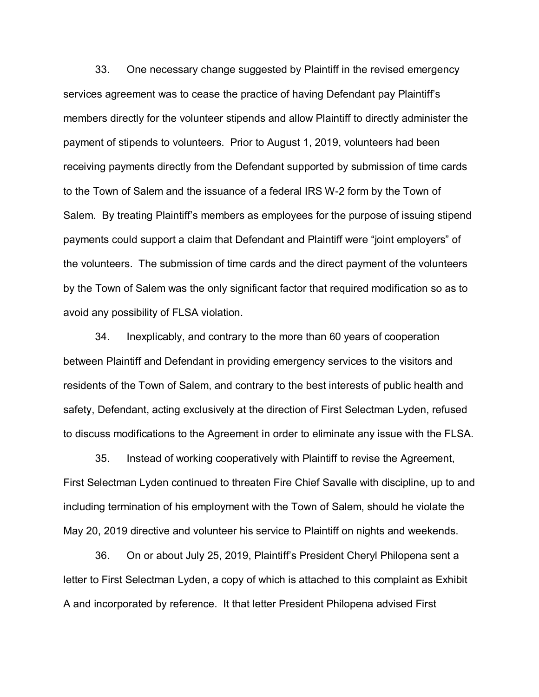33. One necessary change suggested by Plaintiff in the revised emergency services agreement was to cease the practice of having Defendant pay Plaintiff's members directly for the volunteer stipends and allow Plaintiff to directly administer the payment of stipends to volunteers. Prior to August 1, 2019, volunteers had been receiving payments directly from the Defendant supported by submission of time cards to the Town of Salem and the issuance of a federal IRS W-2 form by the Town of Salem. By treating Plaintiff's members as employees for the purpose of issuing stipend payments could support a claim that Defendant and Plaintiff were "joint employers" of the volunteers. The submission of time cards and the direct payment of the volunteers by the Town of Salem was the only significant factor that required modification so as to avoid any possibility of FLSA violation.

34. Inexplicably, and contrary to the more than 60 years of cooperation between Plaintiff and Defendant in providing emergency services to the visitors and residents of the Town of Salem, and contrary to the best interests of public health and safety, Defendant, acting exclusively at the direction of First Selectman Lyden, refused to discuss modifications to the Agreement in order to eliminate any issue with the FLSA.

35. Instead of working cooperatively with Plaintiff to revise the Agreement, First Selectman Lyden continued to threaten Fire Chief Savalle with discipline, up to and including termination of his employment with the Town of Salem, should he violate the May 20, 2019 directive and volunteer his service to Plaintiff on nights and weekends.

36. On or about July 25, 2019, Plaintiff's President Cheryl Philopena sent a letter to First Selectman Lyden, a copy of which is attached to this complaint as Exhibit A and incorporated by reference. It that letter President Philopena advised First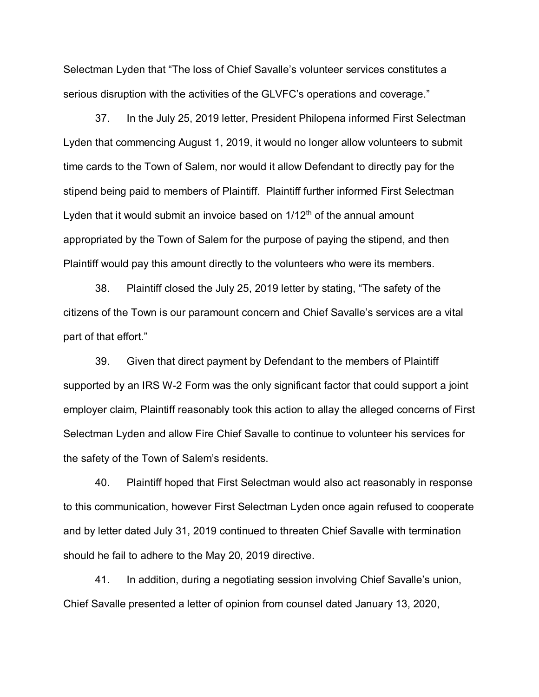Selectman Lyden that "The loss of Chief Savalle's volunteer services constitutes a serious disruption with the activities of the GLVFC's operations and coverage."

37. In the July 25, 2019 letter, President Philopena informed First Selectman Lyden that commencing August 1, 2019, it would no longer allow volunteers to submit time cards to the Town of Salem, nor would it allow Defendant to directly pay for the stipend being paid to members of Plaintiff. Plaintiff further informed First Selectman Lyden that it would submit an invoice based on  $1/12<sup>th</sup>$  of the annual amount appropriated by the Town of Salem for the purpose of paying the stipend, and then Plaintiff would pay this amount directly to the volunteers who were its members.

38. Plaintiff closed the July 25, 2019 letter by stating, "The safety of the citizens of the Town is our paramount concern and Chief Savalle's services are a vital part of that effort."

39. Given that direct payment by Defendant to the members of Plaintiff supported by an IRS W-2 Form was the only significant factor that could support a joint employer claim, Plaintiff reasonably took this action to allay the alleged concerns of First Selectman Lyden and allow Fire Chief Savalle to continue to volunteer his services for the safety of the Town of Salem's residents.

40. Plaintiff hoped that First Selectman would also act reasonably in response to this communication, however First Selectman Lyden once again refused to cooperate and by letter dated July 31, 2019 continued to threaten Chief Savalle with termination should he fail to adhere to the May 20, 2019 directive.

41. In addition, during a negotiating session involving Chief Savalle's union, Chief Savalle presented a letter of opinion from counsel dated January 13, 2020,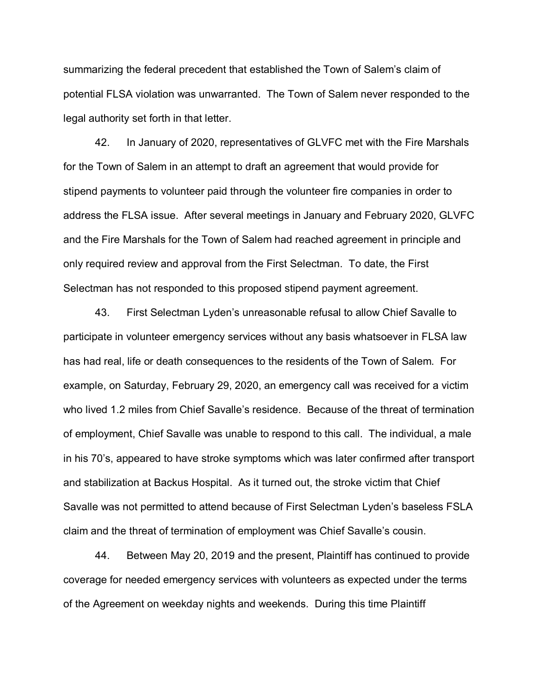summarizing the federal precedent that established the Town of Salem's claim of potential FLSA violation was unwarranted. The Town of Salem never responded to the legal authority set forth in that letter.

42. In January of 2020, representatives of GLVFC met with the Fire Marshals for the Town of Salem in an attempt to draft an agreement that would provide for stipend payments to volunteer paid through the volunteer fire companies in order to address the FLSA issue. After several meetings in January and February 2020, GLVFC and the Fire Marshals for the Town of Salem had reached agreement in principle and only required review and approval from the First Selectman. To date, the First Selectman has not responded to this proposed stipend payment agreement.

43. First Selectman Lyden's unreasonable refusal to allow Chief Savalle to participate in volunteer emergency services without any basis whatsoever in FLSA law has had real, life or death consequences to the residents of the Town of Salem. For example, on Saturday, February 29, 2020, an emergency call was received for a victim who lived 1.2 miles from Chief Savalle's residence. Because of the threat of termination of employment, Chief Savalle was unable to respond to this call. The individual, a male in his 70's, appeared to have stroke symptoms which was later confirmed after transport and stabilization at Backus Hospital. As it turned out, the stroke victim that Chief Savalle was not permitted to attend because of First Selectman Lyden's baseless FSLA claim and the threat of termination of employment was Chief Savalle's cousin.

44. Between May 20, 2019 and the present, Plaintiff has continued to provide coverage for needed emergency services with volunteers as expected under the terms of the Agreement on weekday nights and weekends. During this time Plaintiff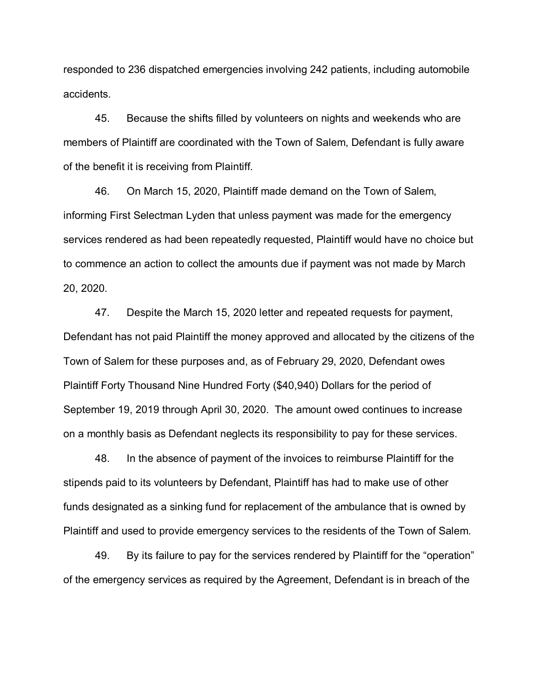responded to 236 dispatched emergencies involving 242 patients, including automobile accidents.

45. Because the shifts filled by volunteers on nights and weekends who are members of Plaintiff are coordinated with the Town of Salem, Defendant is fully aware of the benefit it is receiving from Plaintiff.

46. On March 15, 2020, Plaintiff made demand on the Town of Salem, informing First Selectman Lyden that unless payment was made for the emergency services rendered as had been repeatedly requested, Plaintiff would have no choice but to commence an action to collect the amounts due if payment was not made by March 20, 2020.

47. Despite the March 15, 2020 letter and repeated requests for payment, Defendant has not paid Plaintiff the money approved and allocated by the citizens of the Town of Salem for these purposes and, as of February 29, 2020, Defendant owes Plaintiff Forty Thousand Nine Hundred Forty (\$40,940) Dollars for the period of September 19, 2019 through April 30, 2020. The amount owed continues to increase on a monthly basis as Defendant neglects its responsibility to pay for these services.

48. In the absence of payment of the invoices to reimburse Plaintiff for the stipends paid to its volunteers by Defendant, Plaintiff has had to make use of other funds designated as a sinking fund for replacement of the ambulance that is owned by Plaintiff and used to provide emergency services to the residents of the Town of Salem.

49. By its failure to pay for the services rendered by Plaintiff for the "operation" of the emergency services as required by the Agreement, Defendant is in breach of the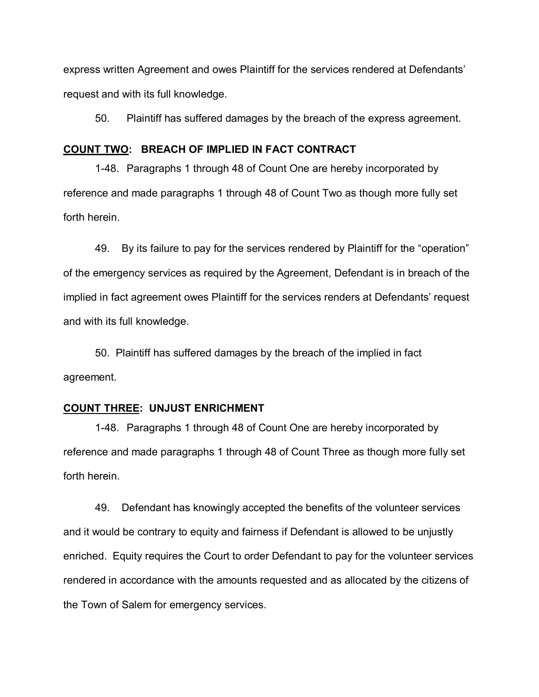express written Agreement and owes Plaintiff for the services rendered at Defendants' request and with its full knowledge.

50. Plaintiff has suffered damages by the breach of the express agreement.

#### **COUNT TWO: BREACH OF IMPLIED IN FACT CONTRACT**

1-48. Paragraphs 1 through 48 of Count One are hereby incorporated by reference and made paragraphs 1 through 48 of Count Two as though more fully set forth herein.

49. By its failure to pay for the services rendered by Plaintiff for the "operation" of the emergency services as required by the Agreement, Defendant is in breach of the implied in fact agreement owes Plaintiff for the services renders at Defendants' request and with its full knowledge.

50. Plaintiff has suffered damages by the breach of the implied in fact agreement.

### **COUNT THREE: UNJUST ENRICHMENT**

1-48. Paragraphs 1 through 48 of Count One are hereby incorporated by reference and made paragraphs 1 through 48 of Count Three as though more fully set forth herein.

49. Defendant has knowingly accepted the benefits of the volunteer services and it would be contrary to equity and fairness if Defendant is allowed to be unjustly enriched. Equity requires the Court to order Defendant to pay for the volunteer services rendered in accordance with the amounts requested and as allocated by the citizens of the Town of Salem for emergency services.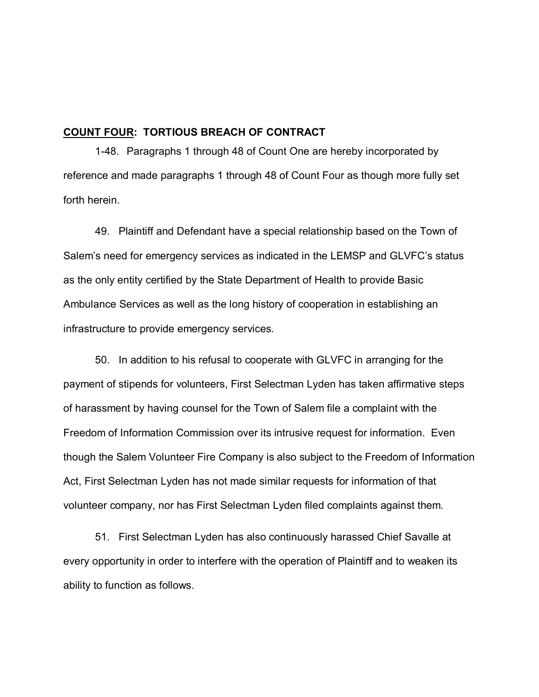# **COUNT FOUR: TORTIOUS BREACH OF CONTRACT**

1-48. Paragraphs 1 through 48 of Count One are hereby incorporated by reference and made paragraphs 1 through 48 of Count Four as though more fully set forth herein.

49. Plaintiff and Defendant have a special relationship based on the Town of Salem's need for emergency services as indicated in the LEMSP and GLVFC's status as the only entity certified by the State Department of Health to provide Basic Ambulance Services as well as the long history of cooperation in establishing an infrastructure to provide emergency services.

50. In addition to his refusal to cooperate with GLVFC in arranging for the payment of stipends for volunteers, First Selectman Lyden has taken affirmative steps of harassment by having counsel for the Town of Salem file a complaint with the Freedom of Information Commission over its intrusive request for information. Even though the Salem Volunteer Fire Company is also subject to the Freedom of Information Act, First Selectman Lyden has not made similar requests for information of that volunteer company, nor has First Selectman Lyden filed complaints against them.

51. First Selectman Lyden has also continuously harassed Chief Savalle at every opportunity in order to interfere with the operation of Plaintiff and to weaken its ability to function as follows.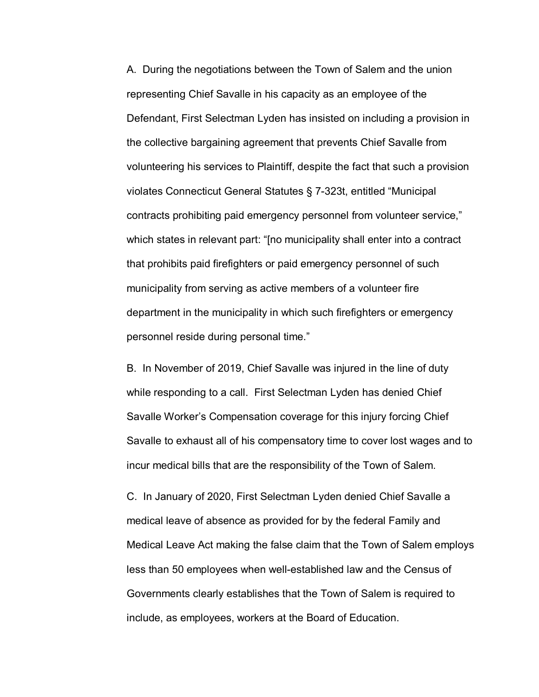A. During the negotiations between the Town of Salem and the union representing Chief Savalle in his capacity as an employee of the Defendant, First Selectman Lyden has insisted on including a provision in the collective bargaining agreement that prevents Chief Savalle from volunteering his services to Plaintiff, despite the fact that such a provision violates Connecticut General Statutes § 7-323t, entitled "Municipal contracts prohibiting paid emergency personnel from volunteer service," which states in relevant part: "[no municipality shall enter into a contract that prohibits paid firefighters or paid emergency personnel of such municipality from serving as active members of a volunteer fire department in the municipality in which such firefighters or emergency personnel reside during personal time."

B. In November of 2019, Chief Savalle was injured in the line of duty while responding to a call. First Selectman Lyden has denied Chief Savalle Worker's Compensation coverage for this injury forcing Chief Savalle to exhaust all of his compensatory time to cover lost wages and to incur medical bills that are the responsibility of the Town of Salem.

C. In January of 2020, First Selectman Lyden denied Chief Savalle a medical leave of absence as provided for by the federal Family and Medical Leave Act making the false claim that the Town of Salem employs less than 50 employees when well-established law and the Census of Governments clearly establishes that the Town of Salem is required to include, as employees, workers at the Board of Education.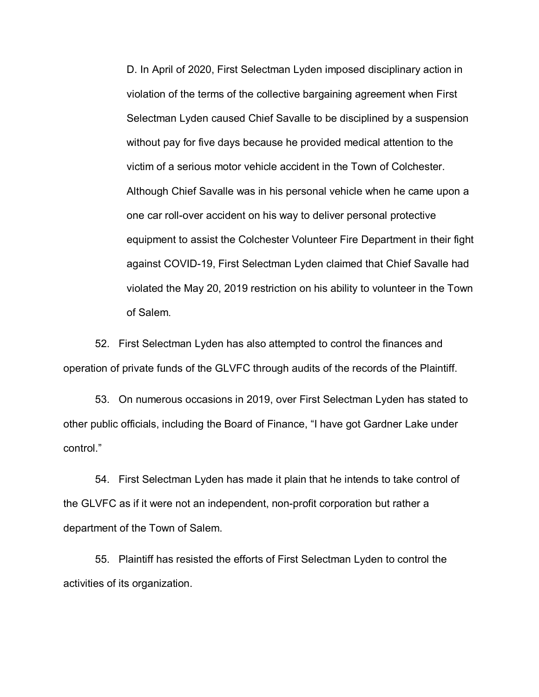D. In April of 2020, First Selectman Lyden imposed disciplinary action in violation of the terms of the collective bargaining agreement when First Selectman Lyden caused Chief Savalle to be disciplined by a suspension without pay for five days because he provided medical attention to the victim of a serious motor vehicle accident in the Town of Colchester. Although Chief Savalle was in his personal vehicle when he came upon a one car roll-over accident on his way to deliver personal protective equipment to assist the Colchester Volunteer Fire Department in their fight against COVID-19, First Selectman Lyden claimed that Chief Savalle had violated the May 20, 2019 restriction on his ability to volunteer in the Town of Salem.

52. First Selectman Lyden has also attempted to control the finances and operation of private funds of the GLVFC through audits of the records of the Plaintiff.

53. On numerous occasions in 2019, over First Selectman Lyden has stated to other public officials, including the Board of Finance, "I have got Gardner Lake under control."

54. First Selectman Lyden has made it plain that he intends to take control of the GLVFC as if it were not an independent, non-profit corporation but rather a department of the Town of Salem.

55. Plaintiff has resisted the efforts of First Selectman Lyden to control the activities of its organization.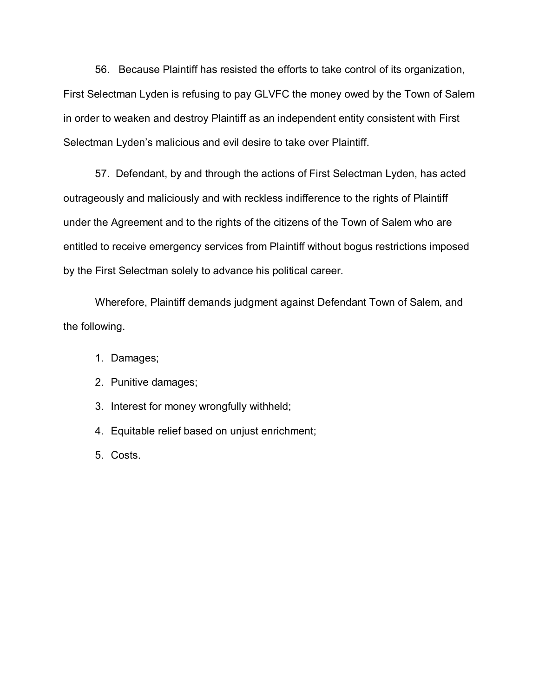56. Because Plaintiff has resisted the efforts to take control of its organization, First Selectman Lyden is refusing to pay GLVFC the money owed by the Town of Salem in order to weaken and destroy Plaintiff as an independent entity consistent with First Selectman Lyden's malicious and evil desire to take over Plaintiff.

57. Defendant, by and through the actions of First Selectman Lyden, has acted outrageously and maliciously and with reckless indifference to the rights of Plaintiff under the Agreement and to the rights of the citizens of the Town of Salem who are entitled to receive emergency services from Plaintiff without bogus restrictions imposed by the First Selectman solely to advance his political career.

Wherefore, Plaintiff demands judgment against Defendant Town of Salem, and the following.

- 1. Damages;
- 2. Punitive damages;
- 3. Interest for money wrongfully withheld;
- 4. Equitable relief based on unjust enrichment;
- 5. Costs.